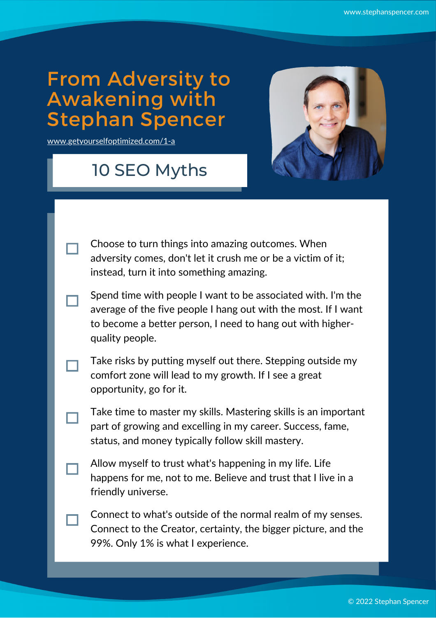## From Adversity to Awakening with Stephan Spencer

[www.getyourselfoptimized.com/1-a](https://www.getyourselfoptimized.com/1-a)

## 10 SEO Myths



| Choose to turn things into amazing outcomes. When            |
|--------------------------------------------------------------|
| adversity comes, don't let it crush me or be a victim of it; |
| instead, turn it into something amazing.                     |

- Spend time with people I want to be associated with. I'm the average of the five people I hang out with the most. If I want to become a better person, I need to hang out with higherquality people.
- Take risks by putting myself out there. Stepping outside my comfort zone will lead to my growth. If I see a great opportunity, go for it.
- Take time to master my skills. Mastering skills is an important part of growing and excelling in my career. Success, fame, status, and money typically follow skill mastery.
- Allow myself to trust what's happening in my life. Life happens for me, not to me. Believe and trust that I live in a friendly universe.
- Connect to what's outside of the normal realm of my senses. Connect to the Creator, certainty, the bigger picture, and the 99%. Only 1% is what I experience.